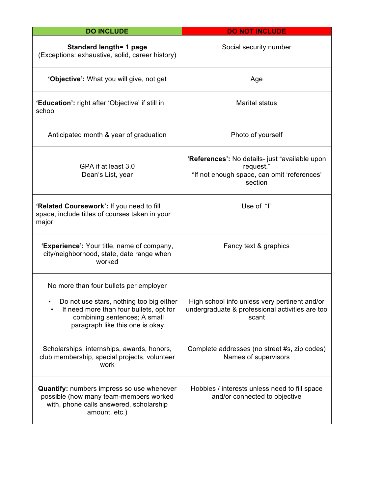| <b>DO INCLUDE</b>                                                                                                                                                                                 | <b>DO NOT INCLUDE</b>                                                                                                 |  |  |  |
|---------------------------------------------------------------------------------------------------------------------------------------------------------------------------------------------------|-----------------------------------------------------------------------------------------------------------------------|--|--|--|
| Standard length= 1 page<br>(Exceptions: exhaustive, solid, career history)                                                                                                                        | Social security number                                                                                                |  |  |  |
| 'Objective': What you will give, not get                                                                                                                                                          | Age                                                                                                                   |  |  |  |
| 'Education': right after 'Objective' if still in<br>school                                                                                                                                        | <b>Marital status</b><br>Photo of yourself                                                                            |  |  |  |
| Anticipated month & year of graduation                                                                                                                                                            |                                                                                                                       |  |  |  |
| GPA if at least 3.0<br>Dean's List, year                                                                                                                                                          | 'References': No details- just "available upon<br>request."<br>*If not enough space, can omit 'references'<br>section |  |  |  |
| 'Related Coursework': If you need to fill<br>space, include titles of courses taken in your<br>major                                                                                              | Use of "I"                                                                                                            |  |  |  |
| 'Experience': Your title, name of company,<br>city/neighborhood, state, date range when<br>worked                                                                                                 | Fancy text & graphics                                                                                                 |  |  |  |
| No more than four bullets per employer<br>Do not use stars, nothing too big either<br>If need more than four bullets, opt for<br>combining sentences; A small<br>paragraph like this one is okay. | High school info unless very pertinent and/or<br>undergraduate & professional activities are too<br>scant             |  |  |  |
| Scholarships, internships, awards, honors,<br>club membership, special projects, volunteer<br>work                                                                                                | Complete addresses (no street #s, zip codes)<br>Names of supervisors                                                  |  |  |  |
| Quantify: numbers impress so use whenever<br>possible (how many team-members worked<br>with, phone calls answered, scholarship<br>amount, etc.)                                                   | Hobbies / interests unless need to fill space<br>and/or connected to objective                                        |  |  |  |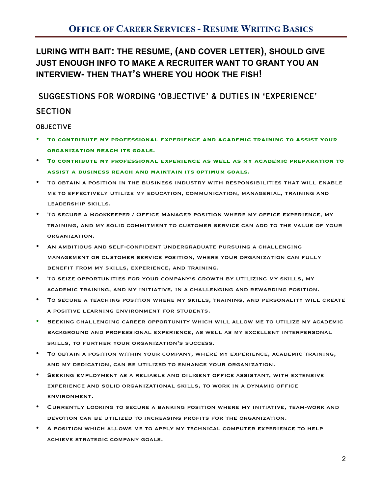**LURING WITH BAIT: THE RESUME, (AND COVER LETTER), SHOULD GIVE JUST ENOUGH INFO TO MAKE A RECRUITER WANT TO GRANT YOU AN INTERVIEW- THEN THAT'S WHERE YOU HOOK THE FISH!**

SUGGESTIONS FOR WORDING 'OBJECTIVE' & DUTIES IN 'EXPERIENCE'

## **SECTION**

### OBJECTIVE

- **To contribute my professional experience and academic training to assist your organization reach its goals.**
- **To contribute my professional experience as well as my academic preparation to assist a business reach and maintain its optimum goals.**
- To obtain a position in the business industry with responsibilities that will enable me to effectively utilize my education, communication, managerial, training and leadership skills.
- To secure a Bookkeeper / Office Manager position where my office experience, my training, and my solid commitment to customer service can add to the value of your organization.
- An ambitious and self-confident undergraduate pursuing a challenging management or customer service position, where your organization can fully benefit from my skills, experience, and training.
- To seize opportunities for your company's growth by utilizing my skills, my academic training, and my initiative, in a challenging and rewarding position.
- To secure a teaching position where my skills, training, and personality will create a positive learning environment for students.
- Seeking challenging career opportunity which will allow me to utilize my academic background and professional experience, as well as my excellent interpersonal skills, to further your organization's success.
- To obtain a position within your company, where my experience, academic training, and my dedication, can be utilized to enhance your organization.
- Seeking employment as a reliable and diligent office assistant, with extensive experience and solid organizational skills, to work in a dynamic office environment.
- Currently looking to secure a banking position where my initiative, team-work and devotion can be utilized to increasing profits for the organization.
- A position which allows me to apply my technical computer experience to help achieve strategic company goals.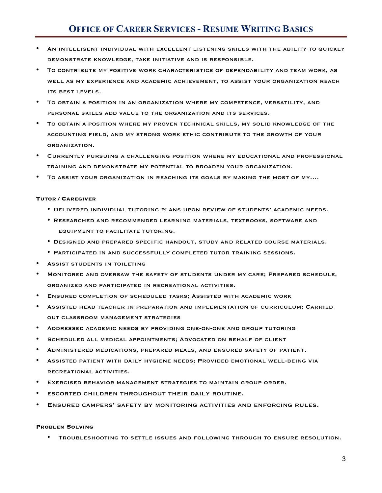# **OFFICE OF CAREER SERVICES - RESUME WRITING BASICS**

- An intelligent individual with excellent listening skills with the ability to quickly demonstrate knowledge, take initiative and is responsible.
- To contribute my positive work characteristics of dependability and team work, as well as my experience and academic achievement, to assist your organization reach its best levels.
- To obtain a position in an organization where my competence, versatility, and personal skills add value to the organization and its services.
- To obtain a position where my proven technical skills, my solid knowledge of the accounting field, and my strong work ethic contribute to the growth of your organization.
- Currently pursuing a challenging position where my educational and professional training and demonstrate my potential to broaden your organization.
- TO ASSIST YOUR ORGANIZATION IN REACHING ITS GOALS BY MAKING THE MOST OF MY....

#### **TUTOR / CAREGIVER**

- Delivered individual tutoring plans upon review of students' academic needs.
- Researched and recommended learning materials, textbooks, software and equipment to facilitate tutoring.
- Designed and prepared specific handout, study and related course materials.
- Participated in and successfully completed tutor training sessions.
- Assist students in toileting
- Monitored and oversaw the safety of students under my care; Prepared schedule, organized and participated in recreational activities.
- Ensured completion of scheduled tasks; Assisted with academic work
- Assisted head teacher in preparation and implementation of curriculum; Carried out classroom management strategies
- Addressed academic needs by providing one-on-one and group tutoring
- SCHEDULED ALL MEDICAL APPOINTMENTS; ADVOCATED ON BEHALF OF CLIENT
- Administered medications, prepared meals, and ensured safety of patient.
- Assisted patient with daily hygiene needs; Provided emotional well-being via recreational activities.
- Exercised behavior management strategies to maintain group order.
- escorted children throughout their daily routine.
- Ensured campers' safety by monitoring activities and enforcing rules.

#### **PROBLEM SOLVING**

• Troubleshooting to settle issues and following through to ensure resolution.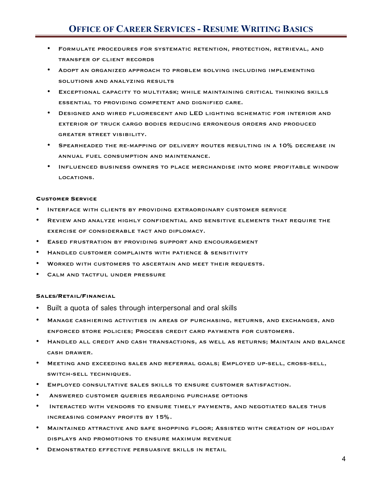- Formulate procedures for systematic retention, protection, retrieval, and transfer of client records
- Adopt an organized approach to problem solving including implementing solutions and analyzing results
- Exceptional capacity to multitask; while maintaining critical thinking skills essential to providing competent and dignified care.
- Designed and wired fluorescent and LED lighting schematic for interior and exterior of truck cargo bodies reducing erroneous orders and produced greater street visibility.
- Spearheaded the re-mapping of delivery routes resulting in a 10% decrease in annual fuel consumption and maintenance.
- Influenced business owners to place merchandise into more profitable window locations.

#### **CUSTOMER SERVICE**

- Interface with clients by providing extraordinary customer service
- Review and analyze highly confidential and sensitive elements that require the exercise of considerable tact and diplomacy.
- Eased frustration by providing support and encouragement
- Handled customer complaints with patience & sensitivity
- Worked with customers to ascertain and meet their requests.
- CALM AND TACTFUL UNDER PRESSURE

#### **SALES/RETAIL/FINANCIAL**

- Built a quota of sales through interpersonal and oral skills
- Manage cashiering activities in areas of purchasing, returns, and exchanges, and enforced store policies; Process credit card payments for customers.
- Handled all credit and cash transactions, as well as returns; Maintain and balance cash drawer.
- Meeting and exceeding sales and referral goals; Employed up-sell, cross-sell, switch-sell techniques.
- Employed consultative sales skills to ensure customer satisfaction.
- Answered customer queries regarding purchase options
- Interacted with vendors to ensure timely payments, and negotiated sales thus increasing company profits by 15%.
- Maintained attractive and safe shopping floor; Assisted with creation of holiday displays and promotions to ensure maximum revenue
- Demonstrated effective persuasive skills in retail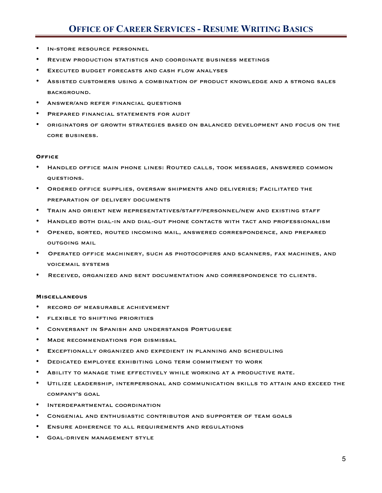- IN-STORE RESOURCE PERSONNEL
- Review production statistics and coordinate business meetings
- EXECUTED BUDGET FORECASTS AND CASH FLOW ANALYSES
- Assisted customers using a combination of product knowledge and a strong sales background.
- Answer/and refer financial questions
- Prepared financial statements for audit
- originators of growth strategies based on balanced development and focus on the core business.

#### **OFFICE**

- Handled office main phone lines: Routed calls, took messages, answered common questions.
- Ordered office supplies, oversaw shipments and deliveries; Facilitated the preparation of delivery documents
- Train and orient new representatives/staff/personnel/new and existing staff
- Handled both dial-in and dial-out phone contacts with tact and professionalism
- Opened, sorted, routed incoming mail, answered correspondence, and prepared outgoing mail
- Operated office machinery, such as photocopiers and scanners, fax machines, and voicemail systems
- Received, organized and sent documentation and correspondence to clients.

#### **MISCELLANEOUS**

- record of measurable achievement
- flexible to shifting priorities
- Conversant in Spanish and understands Portuguese
- MADE RECOMMENDATIONS FOR DISMISSAL
- Exceptionally organized and expedient in planning and scheduling
- Dedicated employee exhibiting long term commitment to work
- ABILITY TO MANAGE TIME EFFECTIVELY WHILE WORKING AT A PRODUCTIVE RATE.
- Utilize leadership, interpersonal and communication skills to attain and exceed the company's goal
- Interdepartmental coordination
- Congenial and enthusiastic contributor and supporter of team goals
- Ensure adherence to all requirements and regulations
- GOAL-DRIVEN MANAGEMENT STYLE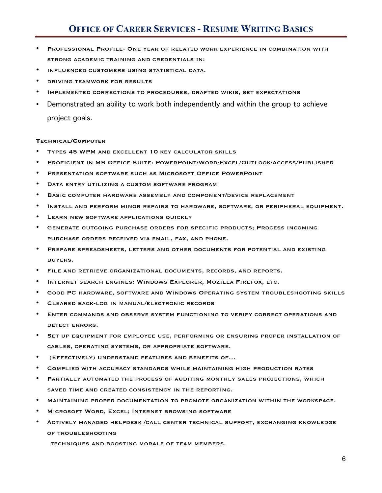- Professional Profile- One year of related work experience in combination with strong academic training and credentials in:
- influenced customers using statistical data.
- driving teamwork for results
- Implemented corrections to procedures, drafted wikis, set expectations
- Demonstrated an ability to work both independently and within the group to achieve project goals.

#### **TECHNICAL/COMPUTER**

- Types 45 WPM and excellent 10 key calculator skills
- PROFICIENT IN MS OFFICE SUITE: POWERPOINT/WORD/EXCEL/OUTLOOK/ACCESS/PUBLISHER
- Presentation software such as Microsoft Office PowerPoint
- DATA ENTRY UTILIZING A CUSTOM SOFTWARE PROGRAM
- BASIC COMPUTER HARDWARE ASSEMBLY AND COMPONENT/DEVICE REPLACEMENT
- Install and perform minor repairs to hardware, software, or peripheral equipment.
- **LEARN NEW SOFTWARE APPLICATIONS QUICKLY**
- Generate outgoing purchase orders for specific products; Process incoming purchase orders received via email, fax, and phone.
- Prepare spreadsheets, letters and other documents for potential and existing buyers.
- File and retrieve organizational documents, records, and reports.
- Internet search engines: Windows Explorer, Mozilla Firefox, etc.
- Good PC hardware, software and Windows Operating system troubleshooting skills
- Cleared back-log in manual/electronic records
- Enter commands and observe system functioning to verify correct operations and detect errors.
- Set up equipment for employee use, performing or ensuring proper installation of cables, operating systems, or appropriate software.
- (Effectively) understand features and benefits of…
- Complied with accuracy standards while maintaining high production rates
- PARTIALLY AUTOMATED THE PROCESS OF AUDITING MONTHLY SALES PROJECTIONS, WHICH saved time and created consistency in the reporting.
- Maintaining proper documentation to promote organization within the workspace.
- MICROSOFT WORD, EXCEL; INTERNET BROWSING SOFTWARE
- Actively managed helpdesk /call center technical support, exchanging knowledge of troubleshooting

techniques and boosting morale of team members.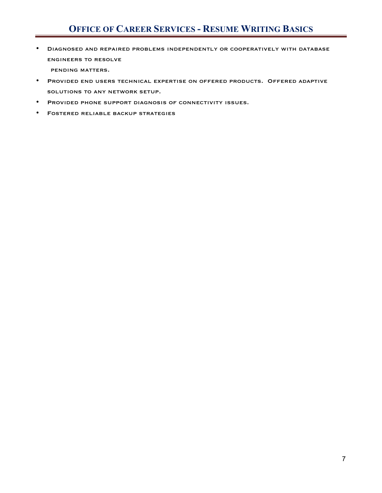# **OFFICE OF CAREER SERVICES - RESUME WRITING BASICS**

• Diagnosed and repaired problems independently or cooperatively with database engineers to resolve

pending matters.

- Provided end users technical expertise on offered products. Offered adaptive solutions to any network setup.
- Provided phone support diagnosis of connectivity issues.
- Fostered reliable backup strategies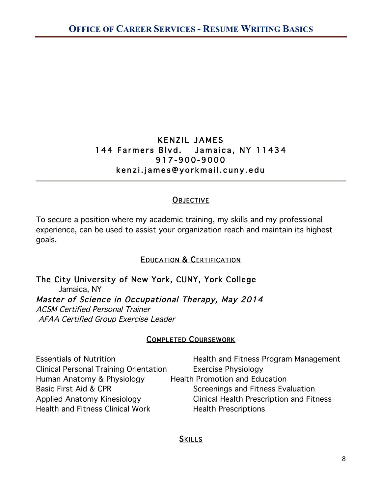# KENZIL JAMES 144 Farmers Blvd. Jamaica, NY 11434 917-900-9000 kenzi.james@yorkmail.cuny.edu

# **OBJECTIVE**

To secure a position where my academic training, my skills and my professional experience, can be used to assist your organization reach and maintain its highest goals.

# **EDUCATION & CERTIFICATION**

The City University of New York, CUNY, York College Jamaica, NY Master of Science in Occupational Therapy, May 2014 ACSM Certified Personal Trainer AFAA Certified Group Exercise Leader

# COMPLETED COURSEWORK

| <b>Essentials of Nutrition</b>                | Health and Fitness Program Management           |
|-----------------------------------------------|-------------------------------------------------|
| <b>Clinical Personal Training Orientation</b> | <b>Exercise Physiology</b>                      |
| Human Anatomy & Physiology                    | <b>Health Promotion and Education</b>           |
| Basic First Aid & CPR                         | Screenings and Fitness Evaluation               |
| Applied Anatomy Kinesiology                   | <b>Clinical Health Prescription and Fitness</b> |
| <b>Health and Fitness Clinical Work</b>       | <b>Health Prescriptions</b>                     |

# **SKILLS**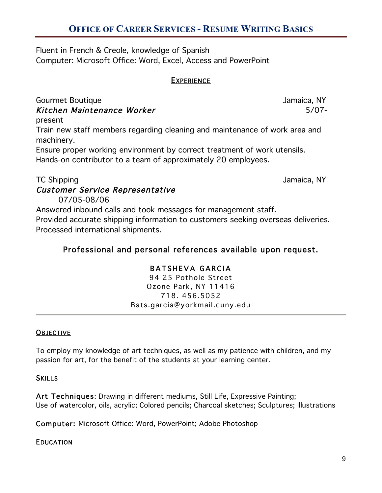# **OFFICE OF CAREER SERVICES - RESUME WRITING BASICS**

Fluent in French & Creole, knowledge of Spanish Computer: Microsoft Office: Word, Excel, Access and PowerPoint

## **EXPERIENCE**

Gourmet Boutique **Gourmet Boutique** And The Second Second Second Second Second Second Second Second Second Second Second Second Second Second Second Second Second Second Second Second Second Second Second Second Second Sec Kitchen Maintenance Worker 5/07-

present Train new staff members regarding cleaning and maintenance of work area and machinery.

Ensure proper working environment by correct treatment of work utensils. Hands-on contributor to a team of approximately 20 employees.

TC Shipping **Internal and Security Contract Contract Contract Contract Contract Contract Contract Contract Contract Contract Contract Contract Contract Contract Contract Contract Contract Contract Contract Contract Contrac** 

# Customer Service Representative

07/05-08/06

Answered inbound calls and took messages for management staff. Provided accurate shipping information to customers seeking overseas deliveries. Processed international shipments.

# Professional and personal references available upon request.

# BATSHEVA GARCIA

94 25 Pothole Street Ozone Park, NY 11416 718. 456.5052 Bats.garcia@yorkmail.cuny.edu

## **OBJECTIVE**

To employ my knowledge of art techniques, as well as my patience with children, and my passion for art, for the benefit of the students at your learning center.

## **SKILLS**

Art Techniques: Drawing in different mediums, Still Life, Expressive Painting; Use of watercolor, oils, acrylic; Colored pencils; Charcoal sketches; Sculptures; Illustrations

Computer: Microsoft Office: Word, PowerPoint; Adobe Photoshop

## **EDUCATION**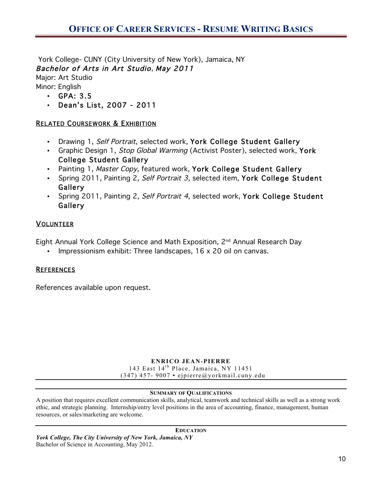York College- CUNY (City University of New York), Jamaica, NY Bachelor of Arts in Art Studio, May 2011

Major: Art Studio

- Minor: English
	- GPA: 3.5
	- Dean's List, 2007 2011

## RELATED COURSEWORK & EXHIBITION

- Drawing 1, Self Portrait, selected work, York College Student Gallery
- Graphic Design 1, Stop Global Warming (Activist Poster), selected work, York College Student Gallery
- Painting 1, Master Copy, featured work, York College Student Gallery
- Spring 2011, Painting 2, Self Portrait 3, selected item, York College Student Gallery
- Spring 2011, Painting 2, Self Portrait 4, selected work, York College Student **Gallery**

## VOLUNTEER

Eight Annual York College Science and Math Exposition, 2nd Annual Research Day

▪ Impressionism exhibit: Three landscapes, 16 x 20 oil on canvas.

## **REFERENCES**

References available upon request.

### **ENRICO JEAN-PIERRE**

143 East 14<sup>th</sup> Place, Jamaica, NY 11451  $(347)$  457- 9007 • ejpierre@yorkmail.cuny.edu

### **SUMMARY OF QUALIFICATIONS**

A position that requires excellent communication skills, analytical, teamwork and technical skills as well as a strong work ethic, and strategic planning. Internship/entry level positions in the area of accounting, finance, management, human resources, or sales/marketing are welcome.

### **EDUCATION**

*York College, The City University of New York, Jamaica, NY*  Bachelor of Science in Accounting, May 2012.